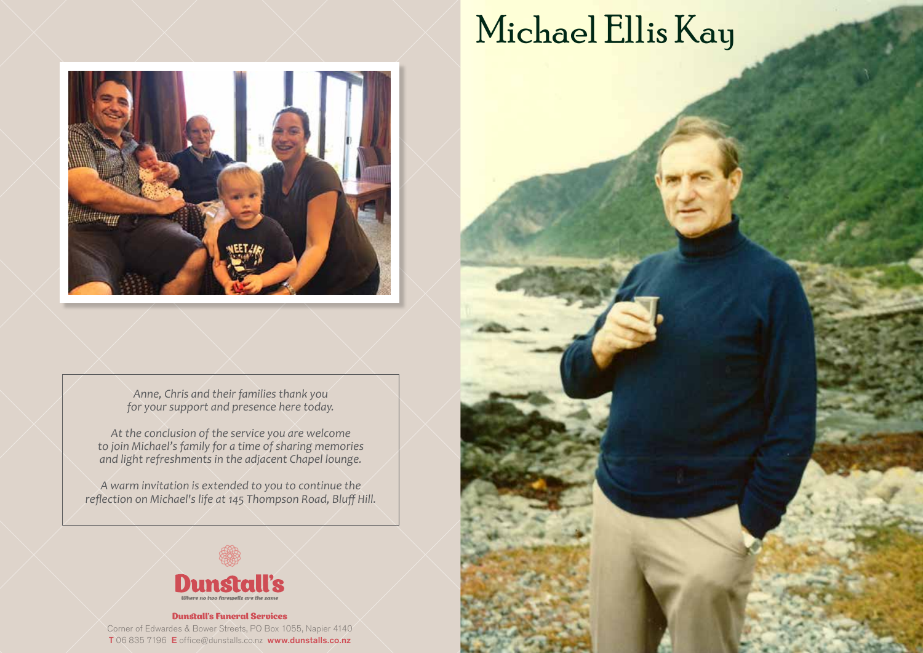*Anne, Chris and their families thank you for your support and presence here today.*

*At the conclusion of the service you are welcome to join Michael's family for a time of sharing memories and light refreshments in the adjacent Chapel lounge.*

*A warm invitation is extended to you to continue the reflection on Michael's life at 145 Thompson Road, Bluff Hill.*



#### Dunstall's Funeral Services Corner of Edwardes & Bower Streets, PO Box 1055, Napier 4140 T 06 835 7196 E office@dunstalls.co.nz www.dunstalls.co.nz

Michael Ellis Kay